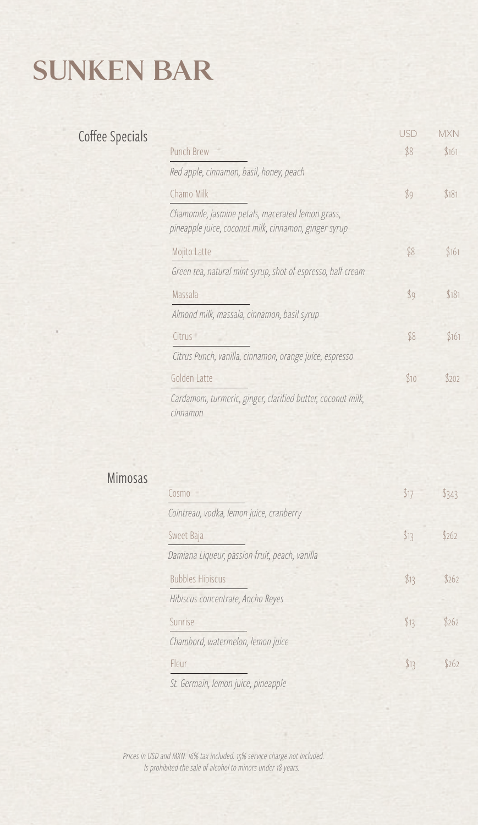# SUNKEN BAR

## Coffee Specials

|                                                                                                            | USD  | <b>MXN</b> |
|------------------------------------------------------------------------------------------------------------|------|------------|
| Punch Brew                                                                                                 | \$8  | \$161      |
| Red apple, cinnamon, basil, honey, peach                                                                   |      |            |
| Chamo Milk                                                                                                 | \$9  | \$181      |
| Chamomile, jasmine petals, macerated lemon grass,<br>pineapple juice, coconut milk, cinnamon, ginger syrup |      |            |
| Mojito Latte                                                                                               | \$8  | \$161      |
| Green tea, natural mint syrup, shot of espresso, half cream                                                |      |            |
| Massala                                                                                                    | \$9  | \$181      |
| Almond milk, massala, cinnamon, basil syrup                                                                |      |            |
| Citrus <sup>1</sup>                                                                                        | \$8  | \$161      |
| Citrus Punch, vanilla, cinnamon, orange juice, espresso                                                    |      |            |
| Golden Latte                                                                                               | \$10 | \$202      |
| Cardamom, turmeric, ginger, clarified butter, coconut milk,<br>cinnamon                                    |      |            |

### Mimosas

| Cosmo                                          | \$17 | \$343 |
|------------------------------------------------|------|-------|
| Cointreau, vodka, lemon juice, cranberry       |      |       |
| Sweet Baja                                     | \$13 | \$262 |
| Damiana Liqueur, passion fruit, peach, vanilla |      |       |
| <b>Bubbles Hibiscus</b>                        | \$13 | \$262 |
| Hibiscus concentrate, Ancho Reyes              |      |       |
| Sunrise                                        | \$13 | \$262 |
| Chambord, watermelon, lemon juice              |      |       |
| Fleur                                          | \$13 | \$262 |
| C+ Carmain Jaman iujog ningannla               |      |       |

*St. Germain, lemon juice, pineapple*

*Prices in USD and MXN. 16% tax included. 15% service charge not included. Is prohibited the sale of alcohol to minors under 18 years.*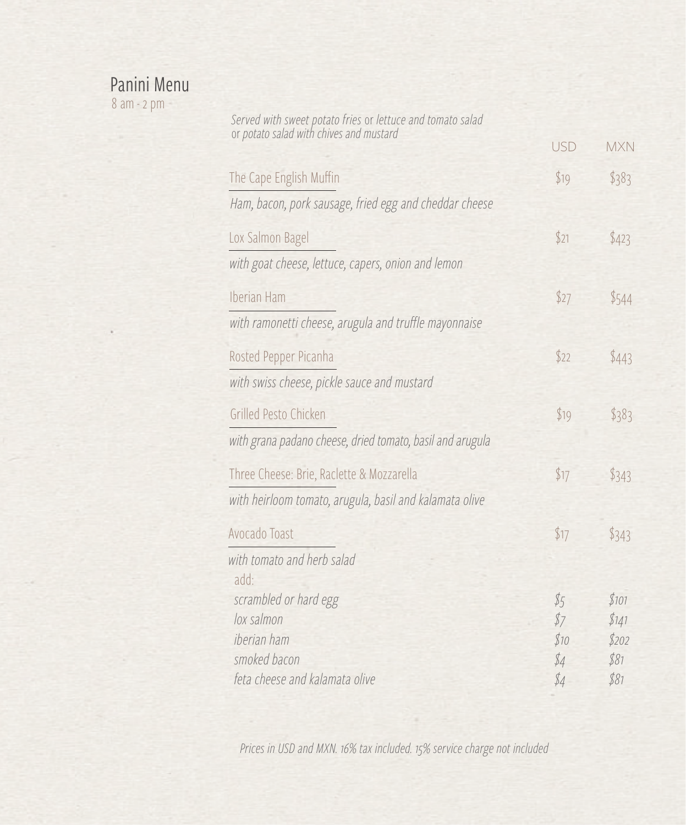#### Panini Menu

8 am - 2 pm

| Served with sweet potato fries or lettuce and tomato salad<br>or potato salad with chives and mustard |            |            |  |
|-------------------------------------------------------------------------------------------------------|------------|------------|--|
|                                                                                                       | <b>USD</b> | <b>MXN</b> |  |
| The Cape English Muffin                                                                               | \$19       | \$383      |  |
| Ham, bacon, pork sausage, fried egg and cheddar cheese                                                |            |            |  |
| Lox Salmon Bagel                                                                                      | \$21       | \$423      |  |
| with goat cheese, lettuce, capers, onion and lemon                                                    |            |            |  |
| Iberian Ham                                                                                           | \$27       | \$544      |  |
| with ramonetti cheese, arugula and truffle mayonnaise                                                 |            |            |  |
| Rosted Pepper Picanha                                                                                 | \$22       | \$443      |  |
| with swiss cheese, pickle sauce and mustard                                                           |            |            |  |
| Grilled Pesto Chicken                                                                                 | \$19       | \$383      |  |
| with grana padano cheese, dried tomato, basil and arugula                                             |            |            |  |
| Three Cheese: Brie, Raclette & Mozzarella                                                             | \$17       | \$343      |  |
| with heirloom tomato, arugula, basil and kalamata olive                                               |            |            |  |
| Avocado Toast                                                                                         | \$17       | \$343      |  |
| with tomato and herb salad<br>add.                                                                    |            |            |  |
| scrambled or hard egg                                                                                 | \$5        | \$101      |  |
| lox salmon                                                                                            | \$7        | \$141      |  |
| iberian ham                                                                                           | \$10       | \$202      |  |
| smoked bacon                                                                                          | \$4        | \$81       |  |
| feta cheese and kalamata olive                                                                        | \$4        | \$81       |  |

*Prices in USD and MXN. 16% tax included. 15% service charge not included*